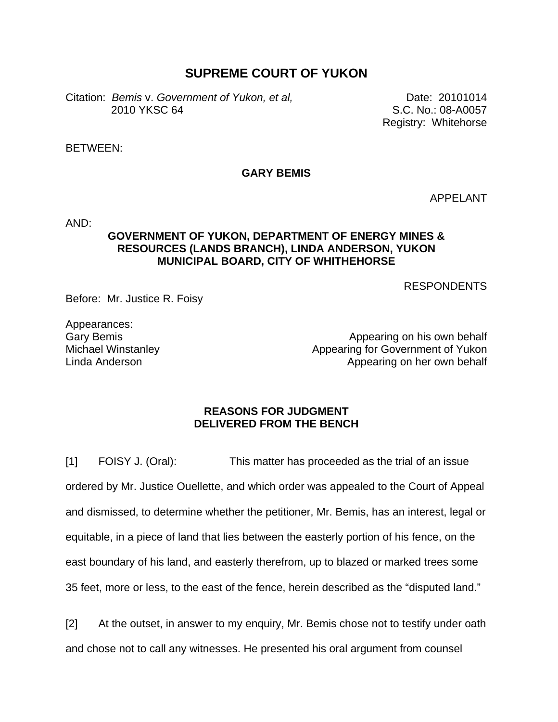## **SUPREME COURT OF YUKON**

Citation: *Bemis* v. *Government of Yukon, et al,* Date: 20101014 2010 YKSC 64 S.C. No.: 08-A0057

Registry: Whitehorse

BETWEEN:

## **GARY BEMIS**

APPELANT

AND:

## **GOVERNMENT OF YUKON, DEPARTMENT OF ENERGY MINES & RESOURCES (LANDS BRANCH), LINDA ANDERSON, YUKON MUNICIPAL BOARD, CITY OF WHITHEHORSE**

RESPONDENTS

Before: Mr. Justice R. Foisy

Appearances: Gary Bemis Michael Winstanley Linda Anderson

Appearing on his own behalf Appearing for Government of Yukon Appearing on her own behalf

## **REASONS FOR JUDGMENT DELIVERED FROM THE BENCH**

[1] FOISY J. (Oral): This matter has proceeded as the trial of an issue ordered by Mr. Justice Ouellette, and which order was appealed to the Court of Appeal and dismissed, to determine whether the petitioner, Mr. Bemis, has an interest, legal or equitable, in a piece of land that lies between the easterly portion of his fence, on the east boundary of his land, and easterly therefrom, up to blazed or marked trees some 35 feet, more or less, to the east of the fence, herein described as the "disputed land."

[2] At the outset, in answer to my enquiry, Mr. Bemis chose not to testify under oath and chose not to call any witnesses. He presented his oral argument from counsel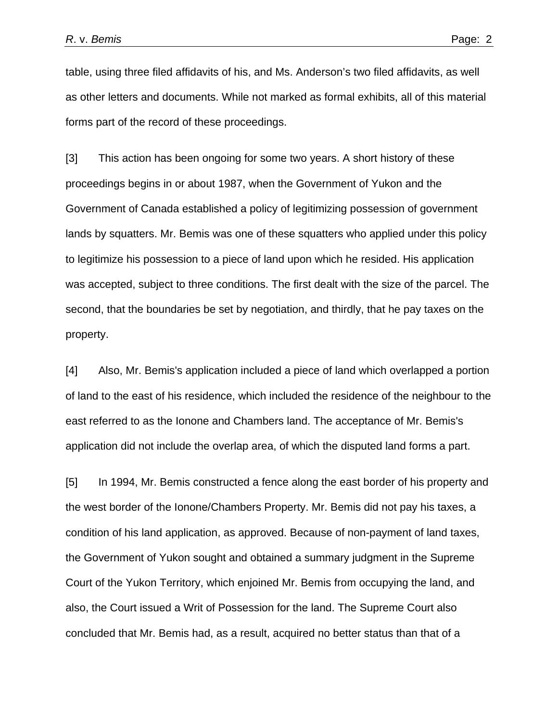table, using three filed affidavits of his, and Ms. Anderson's two filed affidavits, as well as other letters and documents. While not marked as formal exhibits, all of this material forms part of the record of these proceedings.

[3] This action has been ongoing for some two years. A short history of these proceedings begins in or about 1987, when the Government of Yukon and the Government of Canada established a policy of legitimizing possession of government lands by squatters. Mr. Bemis was one of these squatters who applied under this policy to legitimize his possession to a piece of land upon which he resided. His application was accepted, subject to three conditions. The first dealt with the size of the parcel. The second, that the boundaries be set by negotiation, and thirdly, that he pay taxes on the property.

[4] Also, Mr. Bemis's application included a piece of land which overlapped a portion of land to the east of his residence, which included the residence of the neighbour to the east referred to as the Ionone and Chambers land. The acceptance of Mr. Bemis's application did not include the overlap area, of which the disputed land forms a part.

[5] In 1994, Mr. Bemis constructed a fence along the east border of his property and the west border of the Ionone/Chambers Property. Mr. Bemis did not pay his taxes, a condition of his land application, as approved. Because of non-payment of land taxes, the Government of Yukon sought and obtained a summary judgment in the Supreme Court of the Yukon Territory, which enjoined Mr. Bemis from occupying the land, and also, the Court issued a Writ of Possession for the land. The Supreme Court also concluded that Mr. Bemis had, as a result, acquired no better status than that of a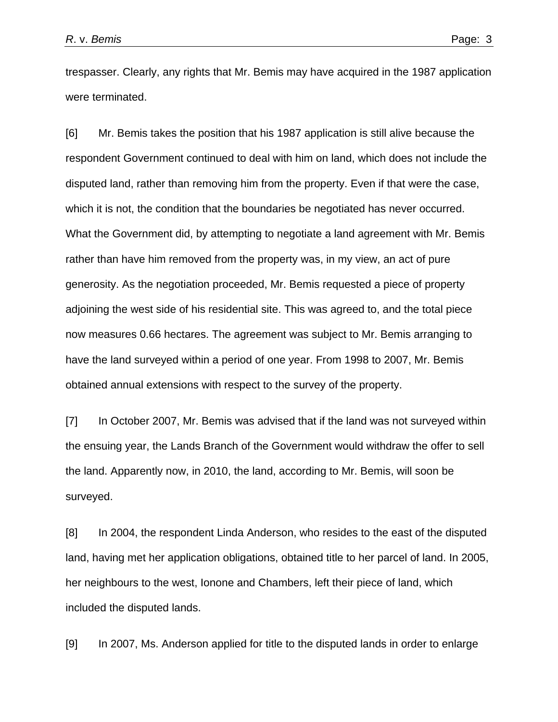trespasser. Clearly, any rights that Mr. Bemis may have acquired in the 1987 application were terminated.

[6] Mr. Bemis takes the position that his 1987 application is still alive because the respondent Government continued to deal with him on land, which does not include the disputed land, rather than removing him from the property. Even if that were the case, which it is not, the condition that the boundaries be negotiated has never occurred. What the Government did, by attempting to negotiate a land agreement with Mr. Bemis rather than have him removed from the property was, in my view, an act of pure generosity. As the negotiation proceeded, Mr. Bemis requested a piece of property adjoining the west side of his residential site. This was agreed to, and the total piece now measures 0.66 hectares. The agreement was subject to Mr. Bemis arranging to have the land surveyed within a period of one year. From 1998 to 2007, Mr. Bemis obtained annual extensions with respect to the survey of the property.

[7] In October 2007, Mr. Bemis was advised that if the land was not surveyed within the ensuing year, the Lands Branch of the Government would withdraw the offer to sell the land. Apparently now, in 2010, the land, according to Mr. Bemis, will soon be surveyed.

[8] In 2004, the respondent Linda Anderson, who resides to the east of the disputed land, having met her application obligations, obtained title to her parcel of land. In 2005, her neighbours to the west, Ionone and Chambers, left their piece of land, which included the disputed lands.

[9] In 2007, Ms. Anderson applied for title to the disputed lands in order to enlarge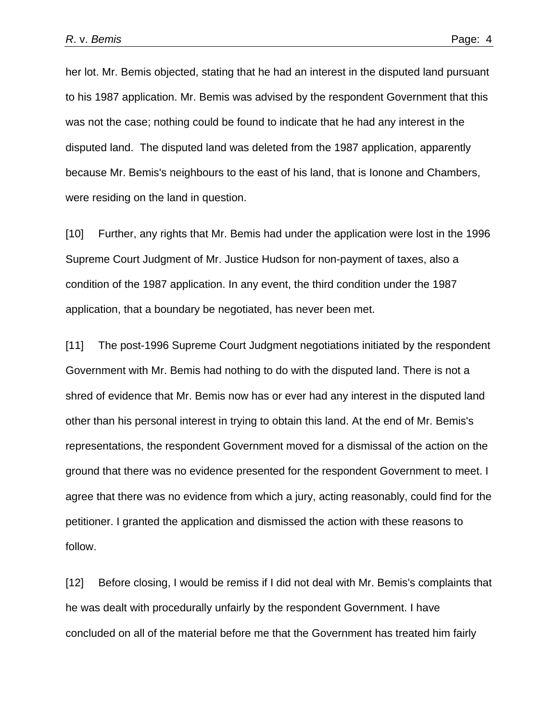her lot. Mr. Bemis objected, stating that he had an interest in the disputed land pursuant to his 1987 application. Mr. Bemis was advised by the respondent Government that this was not the case; nothing could be found to indicate that he had any interest in the disputed land. The disputed land was deleted from the 1987 application, apparently because Mr. Bemis's neighbours to the east of his land, that is Ionone and Chambers, were residing on the land in question.

[10] Further, any rights that Mr. Bemis had under the application were lost in the 1996 Supreme Court Judgment of Mr. Justice Hudson for non-payment of taxes, also a condition of the 1987 application. In any event, the third condition under the 1987 application, that a boundary be negotiated, has never been met.

[11] The post-1996 Supreme Court Judgment negotiations initiated by the respondent Government with Mr. Bemis had nothing to do with the disputed land. There is not a shred of evidence that Mr. Bemis now has or ever had any interest in the disputed land other than his personal interest in trying to obtain this land. At the end of Mr. Bemis's representations, the respondent Government moved for a dismissal of the action on the ground that there was no evidence presented for the respondent Government to meet. I agree that there was no evidence from which a jury, acting reasonably, could find for the petitioner. I granted the application and dismissed the action with these reasons to follow.

[12] Before closing, I would be remiss if I did not deal with Mr. Bemis's complaints that he was dealt with procedurally unfairly by the respondent Government. I have concluded on all of the material before me that the Government has treated him fairly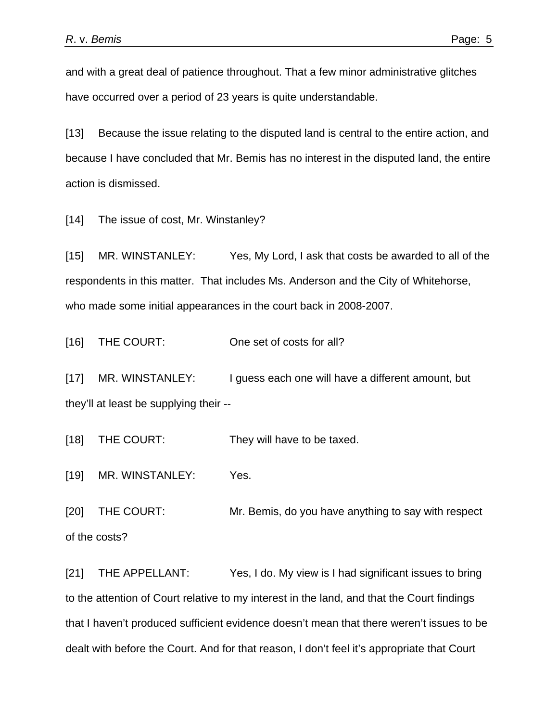and with a great deal of patience throughout. That a few minor administrative glitches have occurred over a period of 23 years is quite understandable.

[13] Because the issue relating to the disputed land is central to the entire action, and because I have concluded that Mr. Bemis has no interest in the disputed land, the entire action is dismissed.

[14] The issue of cost, Mr. Winstanley?

[15] MR. WINSTANLEY: Yes, My Lord, I ask that costs be awarded to all of the respondents in this matter. That includes Ms. Anderson and the City of Whitehorse, who made some initial appearances in the court back in 2008-2007.

[16] THE COURT: One set of costs for all?

[17] MR. WINSTANLEY: I guess each one will have a different amount, but they'll at least be supplying their --

[18] THE COURT: They will have to be taxed.

[19] MR. WINSTANLEY: Yes.

[20] THE COURT: Mr. Bemis, do you have anything to say with respect of the costs?

[21] THE APPELLANT: Yes, I do. My view is I had significant issues to bring to the attention of Court relative to my interest in the land, and that the Court findings that I haven't produced sufficient evidence doesn't mean that there weren't issues to be dealt with before the Court. And for that reason, I don't feel it's appropriate that Court